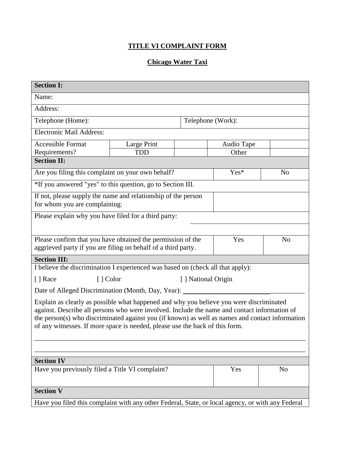## **TITLE VI COMPLAINT FORM**

## **Chicago Water Taxi**

| <b>Section I:</b>                                                                                                                                                                       |                                 |  |            |                |  |
|-----------------------------------------------------------------------------------------------------------------------------------------------------------------------------------------|---------------------------------|--|------------|----------------|--|
| Name:                                                                                                                                                                                   |                                 |  |            |                |  |
| Address:                                                                                                                                                                                |                                 |  |            |                |  |
| Telephone (Home):                                                                                                                                                                       | Telephone (Work):               |  |            |                |  |
| <b>Electronic Mail Address:</b>                                                                                                                                                         |                                 |  |            |                |  |
| <b>Accessible Format</b>                                                                                                                                                                | Large Print                     |  | Audio Tape |                |  |
| Requirements?                                                                                                                                                                           | <b>TDD</b>                      |  | Other      |                |  |
| <b>Section II:</b>                                                                                                                                                                      |                                 |  |            |                |  |
| Are you filing this complaint on your own behalf?                                                                                                                                       |                                 |  | Yes*       | N <sub>o</sub> |  |
| *If you answered "yes" to this question, go to Section III.                                                                                                                             |                                 |  |            |                |  |
| If not, please supply the name and relationship of the person<br>for whom you are complaining:                                                                                          |                                 |  |            |                |  |
| Please explain why you have filed for a third party:                                                                                                                                    |                                 |  |            |                |  |
|                                                                                                                                                                                         |                                 |  |            |                |  |
| Please confirm that you have obtained the permission of the                                                                                                                             |                                 |  | Yes        | N <sub>o</sub> |  |
| aggrieved party if you are filing on behalf of a third party.                                                                                                                           |                                 |  |            |                |  |
| <b>Section III:</b>                                                                                                                                                                     |                                 |  |            |                |  |
| I believe the discrimination I experienced was based on (check all that apply):                                                                                                         |                                 |  |            |                |  |
| [ ] Race                                                                                                                                                                                | [ ] Color<br>[] National Origin |  |            |                |  |
| Date of Alleged Discrimination (Month, Day, Year):                                                                                                                                      |                                 |  |            |                |  |
| Explain as clearly as possible what happened and why you believe you were discriminated<br>against. Describe all persons who were involved. Include the name and contact information of |                                 |  |            |                |  |
| the person(s) who discriminated against you (if known) as well as names and contact information                                                                                         |                                 |  |            |                |  |
| of any witnesses. If more space is needed, please use the back of this form.                                                                                                            |                                 |  |            |                |  |
|                                                                                                                                                                                         |                                 |  |            |                |  |
|                                                                                                                                                                                         |                                 |  |            |                |  |
| <b>Section IV</b>                                                                                                                                                                       |                                 |  |            |                |  |
| Have you previously filed a Title VI complaint?                                                                                                                                         |                                 |  | Yes        | N <sub>o</sub> |  |
|                                                                                                                                                                                         |                                 |  |            |                |  |
| <b>Section V</b>                                                                                                                                                                        |                                 |  |            |                |  |
| Have you filed this complaint with any other Federal, State, or local agency, or with any Federal                                                                                       |                                 |  |            |                |  |